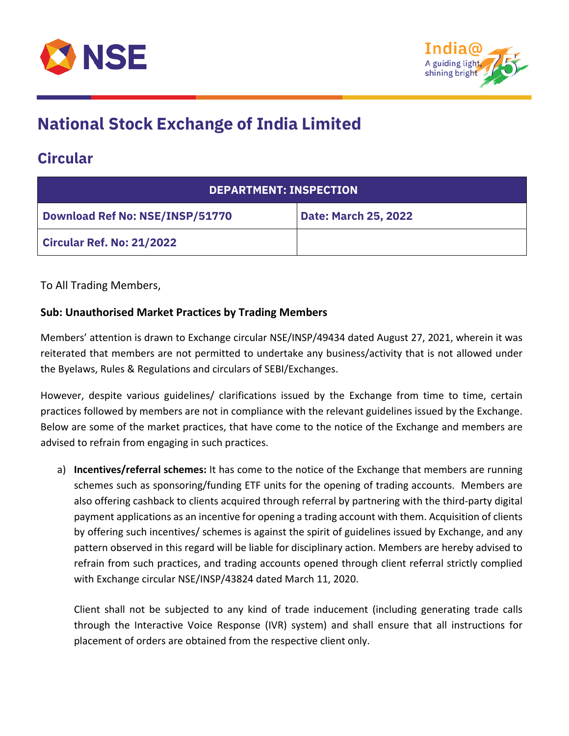



#### **Circular**

| <b>DEPARTMENT: INSPECTION</b>          |                             |  |
|----------------------------------------|-----------------------------|--|
| <b>Download Ref No: NSE/INSP/51770</b> | <b>Date: March 25, 2022</b> |  |
| <b>Circular Ref. No: 21/2022</b>       |                             |  |

To All Trading Members,

#### **Sub: Unauthorised Market Practices by Trading Members**

Members' attention is drawn to Exchange circular NSE/INSP/49434 dated August 27, 2021, wherein it was reiterated that members are not permitted to undertake any business/activity that is not allowed under the Byelaws, Rules & Regulations and circulars of SEBI/Exchanges.

However, despite various guidelines/ clarifications issued by the Exchange from time to time, certain practices followed by members are not in compliance with the relevant guidelines issued by the Exchange. Below are some of the market practices, that have come to the notice of the Exchange and members are advised to refrain from engaging in such practices.

a) **Incentives/referral schemes:** It has come to the notice of the Exchange that members are running schemes such as sponsoring/funding ETF units for the opening of trading accounts. Members are also offering cashback to clients acquired through referral by partnering with the third-party digital payment applications as an incentive for opening a trading account with them. Acquisition of clients by offering such incentives/ schemes is against the spirit of guidelines issued by Exchange, and any pattern observed in this regard will be liable for disciplinary action. Members are hereby advised to refrain from such practices, and trading accounts opened through client referral strictly complied with Exchange circular NSE/INSP/43824 dated March 11, 2020.

Client shall not be subjected to any kind of trade inducement (including generating trade calls through the Interactive Voice Response (IVR) system) and shall ensure that all instructions for placement of orders are obtained from the respective client only.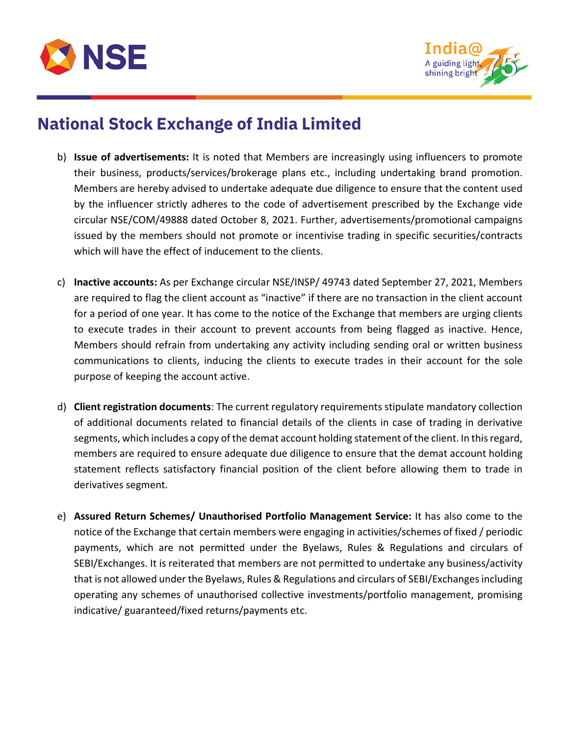



- b) **Issue of advertisements:** It is noted that Members are increasingly using influencers to promote their business, products/services/brokerage plans etc., including undertaking brand promotion. Members are hereby advised to undertake adequate due diligence to ensure that the content used by the influencer strictly adheres to the code of advertisement prescribed by the Exchange vide circular NSE/COM/49888 dated October 8, 2021. Further, advertisements/promotional campaigns issued by the members should not promote or incentivise trading in specific securities/contracts which will have the effect of inducement to the clients.
- c) **Inactive accounts:** As per Exchange circular NSE/INSP/ 49743 dated September 27, 2021, Members are required to flag the client account as "inactive" if there are no transaction in the client account for a period of one year. It has come to the notice of the Exchange that members are urging clients to execute trades in their account to prevent accounts from being flagged as inactive. Hence, Members should refrain from undertaking any activity including sending oral or written business communications to clients, inducing the clients to execute trades in their account for the sole purpose of keeping the account active.
- d) **Client registration documents**: The current regulatory requirements stipulate mandatory collection of additional documents related to financial details of the clients in case of trading in derivative segments, which includes a copy of the demat account holding statement of the client. In this regard, members are required to ensure adequate due diligence to ensure that the demat account holding statement reflects satisfactory financial position of the client before allowing them to trade in derivatives segment.
- e) **Assured Return Schemes/ Unauthorised Portfolio Management Service:** It has also come to the notice of the Exchange that certain members were engaging in activities/schemes of fixed / periodic payments, which are not permitted under the Byelaws, Rules & Regulations and circulars of SEBI/Exchanges. It is reiterated that members are not permitted to undertake any business/activity that is not allowed under the Byelaws, Rules & Regulations and circulars of SEBI/Exchanges including operating any schemes of unauthorised collective investments/portfolio management, promising indicative/ guaranteed/fixed returns/payments etc.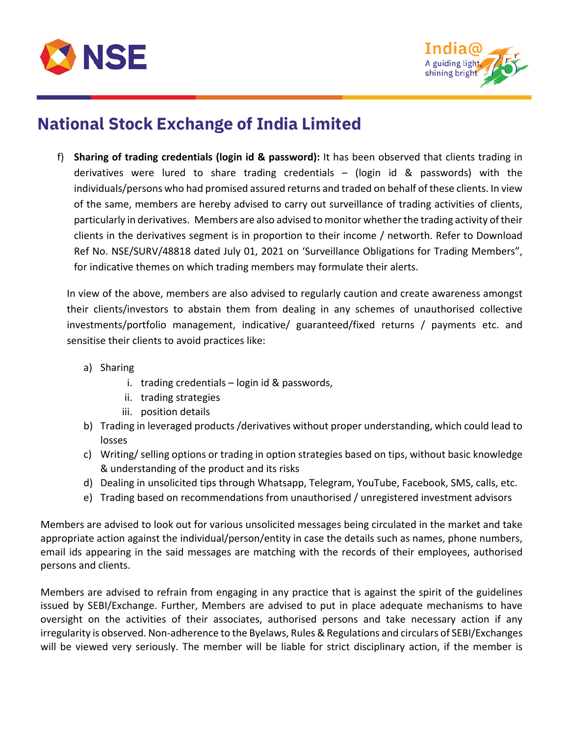



f) **Sharing of trading credentials (login id & password):** It has been observed that clients trading in derivatives were lured to share trading credentials – (login id & passwords) with the individuals/persons who had promised assured returns and traded on behalf of these clients. In view of the same, members are hereby advised to carry out surveillance of trading activities of clients, particularly in derivatives. Members are also advised to monitor whether the trading activity of their clients in the derivatives segment is in proportion to their income / networth. Refer to Download Ref No. NSE/SURV/48818 dated July 01, 2021 on 'Surveillance Obligations for Trading Members", for indicative themes on which trading members may formulate their alerts.

In view of the above, members are also advised to regularly caution and create awareness amongst their clients/investors to abstain them from dealing in any schemes of unauthorised collective investments/portfolio management, indicative/ guaranteed/fixed returns / payments etc. and sensitise their clients to avoid practices like:

- a) Sharing
	- i. trading credentials login id & passwords,
	- ii. trading strategies
	- iii. position details
- b) Trading in leveraged products /derivatives without proper understanding, which could lead to losses
- c) Writing/ selling options or trading in option strategies based on tips, without basic knowledge & understanding of the product and its risks
- d) Dealing in unsolicited tips through Whatsapp, Telegram, YouTube, Facebook, SMS, calls, etc.
- e) Trading based on recommendations from unauthorised / unregistered investment advisors

Members are advised to look out for various unsolicited messages being circulated in the market and take appropriate action against the individual/person/entity in case the details such as names, phone numbers, email ids appearing in the said messages are matching with the records of their employees, authorised persons and clients.

Members are advised to refrain from engaging in any practice that is against the spirit of the guidelines issued by SEBI/Exchange. Further, Members are advised to put in place adequate mechanisms to have oversight on the activities of their associates, authorised persons and take necessary action if any irregularity is observed. Non-adherence to the Byelaws, Rules & Regulations and circulars of SEBI/Exchanges will be viewed very seriously. The member will be liable for strict disciplinary action, if the member is